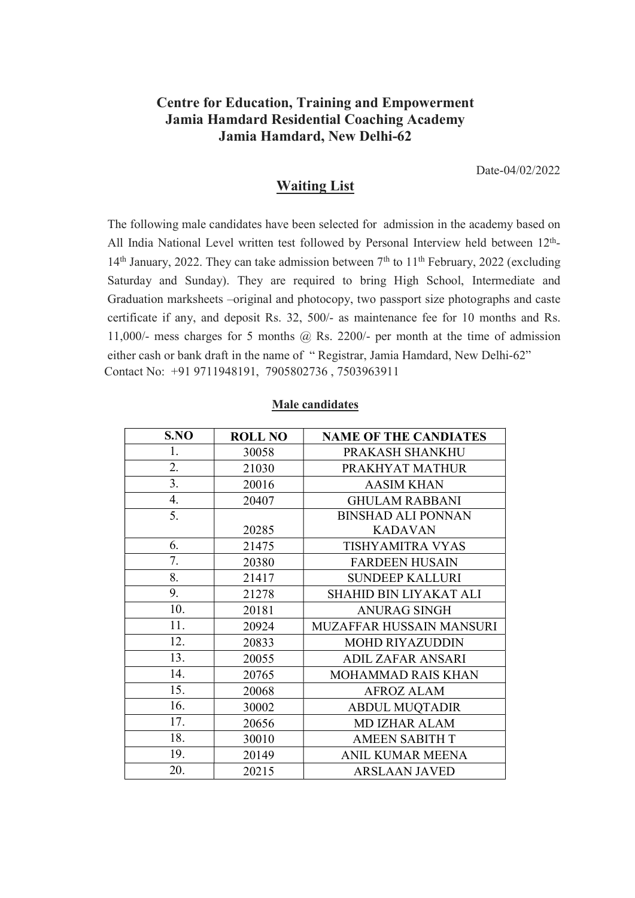## Centre for Education, Training and Empowerment Jamia Hamdard Residential Coaching Academy Jamia Hamdard, New Delhi-62

Date-04/02/2022

## Waiting List

The following male candidates have been selected for admission in the academy based on All India National Level written test followed by Personal Interview held between 12<sup>th</sup>- $14<sup>th</sup>$  January, 2022. They can take admission between  $7<sup>th</sup>$  to  $11<sup>th</sup>$  February, 2022 (excluding Saturday and Sunday). They are required to bring High School, Intermediate and Graduation marksheets –original and photocopy, two passport size photographs and caste certificate if any, and deposit Rs. 32, 500/- as maintenance fee for 10 months and Rs. 11,000/- mess charges for 5 months @ Rs. 2200/- per month at the time of admission either cash or bank draft in the name of " Registrar, Jamia Hamdard, New Delhi-62" Contact No: +91 9711948191, 7905802736 , 7503963911

| S.NO | <b>ROLL NO</b> | <b>NAME OF THE CANDIATES</b> |
|------|----------------|------------------------------|
| 1.   | 30058          | PRAKASH SHANKHU              |
| 2.   | 21030          | PRAKHYAT MATHUR              |
| 3.   | 20016          | <b>AASIM KHAN</b>            |
| 4.   | 20407          | <b>GHULAM RABBANI</b>        |
| 5.   |                | <b>BINSHAD ALI PONNAN</b>    |
|      | 20285          | <b>KADAVAN</b>               |
| 6.   | 21475          | <b>TISHYAMITRA VYAS</b>      |
| 7.   | 20380          | <b>FARDEEN HUSAIN</b>        |
| 8.   | 21417          | <b>SUNDEEP KALLURI</b>       |
| 9.   | 21278          | SHAHID BIN LIYAKAT ALI       |
| 10.  | 20181          | <b>ANURAG SINGH</b>          |
| 11.  | 20924          | MUZAFFAR HUSSAIN MANSURI     |
| 12.  | 20833          | <b>MOHD RIYAZUDDIN</b>       |
| 13.  | 20055          | <b>ADIL ZAFAR ANSARI</b>     |
| 14.  | 20765          | MOHAMMAD RAIS KHAN           |
| 15.  | 20068          | <b>AFROZ ALAM</b>            |
| 16.  | 30002          | <b>ABDUL MUQTADIR</b>        |
| 17.  | 20656          | <b>MD IZHAR ALAM</b>         |
| 18.  | 30010          | <b>AMEEN SABITH T</b>        |
| 19.  | 20149          | <b>ANIL KUMAR MEENA</b>      |
| 20.  | 20215          | <b>ARSLAAN JAVED</b>         |

## Male candidates